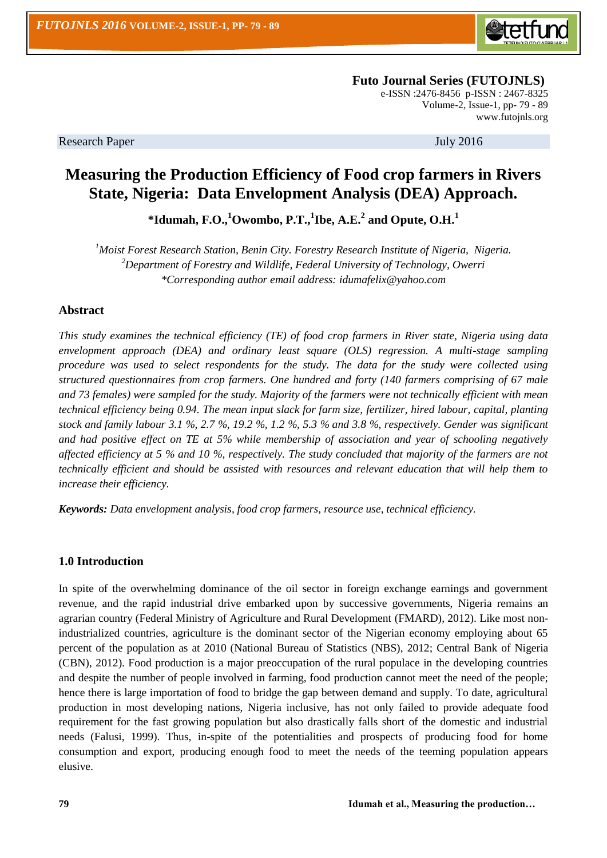

**Futo Journal Series (FUTOJNLS)** e-ISSN :2476-8456 p-ISSN : 2467-8325 Volume-2, Issue-1, pp- 79 - 89 [www.futojnls.org](http://www.futojnls.org/)

Research Paper July 2016

# **Measuring the Production Efficiency of Food crop farmers in Rivers State, Nigeria: Data Envelopment Analysis (DEA) Approach.**

**\*Idumah, F.O.,<sup>1</sup>Owombo, P.T.,<sup>1</sup> Ibe, A.E.<sup>2</sup> and Opute, O.H.<sup>1</sup>**

*<sup>1</sup>Moist Forest Research Station, Benin City. Forestry Research Institute of Nigeria, Nigeria. <sup>2</sup>Department of Forestry and Wildlife, Federal University of Technology, Owerri \*Corresponding author email address: idumafelix@yahoo.com*

## **Abstract**

*This study examines the technical efficiency (TE) of food crop farmers in River state, Nigeria using data envelopment approach (DEA) and ordinary least square (OLS) regression. A multi-stage sampling procedure was used to select respondents for the study. The data for the study were collected using structured questionnaires from crop farmers. One hundred and forty (140 farmers comprising of 67 male and 73 females) were sampled for the study. Majority of the farmers were not technically efficient with mean technical efficiency being 0.94. The mean input slack for farm size, fertilizer, hired labour, capital, planting stock and family labour 3.1 %, 2.7 %, 19.2 %, 1.2 %, 5.3 % and 3.8 %, respectively. Gender was significant and had positive effect on TE at 5% while membership of association and year of schooling negatively affected efficiency at 5 % and 10 %, respectively. The study concluded that majority of the farmers are not technically efficient and should be assisted with resources and relevant education that will help them to increase their efficiency.*

*Keywords: Data envelopment analysis, food crop farmers, resource use, technical efficiency.*

## **1.0 Introduction**

In spite of the overwhelming dominance of the oil sector in foreign exchange earnings and government revenue, and the rapid industrial drive embarked upon by successive governments, Nigeria remains an agrarian country (Federal Ministry of Agriculture and Rural Development (FMARD), 2012). Like most nonindustrialized countries, agriculture is the dominant sector of the Nigerian economy employing about 65 percent of the population as at 2010 (National Bureau of Statistics (NBS), 2012; Central Bank of Nigeria (CBN), 2012). Food production is a major preoccupation of the rural populace in the developing countries and despite the number of people involved in farming, food production cannot meet the need of the people; hence there is large importation of food to bridge the gap between demand and supply. To date, agricultural production in most developing nations, Nigeria inclusive, has not only failed to provide adequate food requirement for the fast growing population but also drastically falls short of the domestic and industrial needs (Falusi, 1999). Thus, in-spite of the potentialities and prospects of producing food for home consumption and export, producing enough food to meet the needs of the teeming population appears elusive.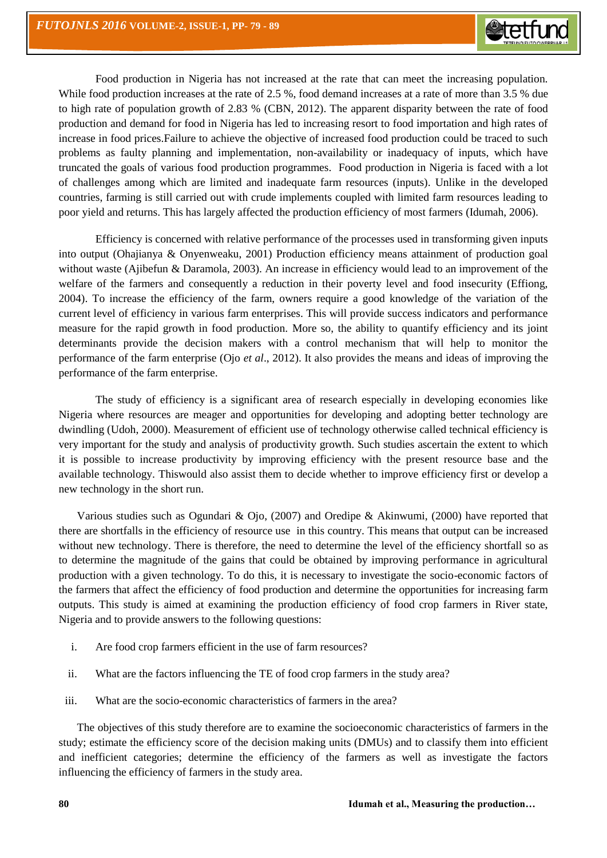Food production in Nigeria has not increased at the rate that can meet the increasing population. While food production increases at the rate of 2.5 %, food demand increases at a rate of more than 3.5 % due to high rate of population growth of 2.83 % (CBN, 2012). The apparent disparity between the rate of food production and demand for food in Nigeria has led to increasing resort to food importation and high rates of increase in food prices.Failure to achieve the objective of increased food production could be traced to such problems as faulty planning and implementation, non-availability or inadequacy of inputs, which have truncated the goals of various food production programmes. Food production in Nigeria is faced with a lot of challenges among which are limited and inadequate farm resources (inputs). Unlike in the developed countries, farming is still carried out with crude implements coupled with limited farm resources leading to poor yield and returns. This has largely affected the production efficiency of most farmers (Idumah, 2006).

Efficiency is concerned with relative performance of the processes used in transforming given inputs into output (Ohajianya & Onyenweaku, 2001) Production efficiency means attainment of production goal without waste (Ajibefun & Daramola, 2003). An increase in efficiency would lead to an improvement of the welfare of the farmers and consequently a reduction in their poverty level and food insecurity (Effiong, 2004). To increase the efficiency of the farm, owners require a good knowledge of the variation of the current level of efficiency in various farm enterprises. This will provide success indicators and performance measure for the rapid growth in food production. More so, the ability to quantify efficiency and its joint determinants provide the decision makers with a control mechanism that will help to monitor the performance of the farm enterprise (Ojo *et al*., 2012). It also provides the means and ideas of improving the performance of the farm enterprise.

The study of efficiency is a significant area of research especially in developing economies like Nigeria where resources are meager and opportunities for developing and adopting better technology are dwindling (Udoh, 2000). Measurement of efficient use of technology otherwise called technical efficiency is very important for the study and analysis of productivity growth. Such studies ascertain the extent to which it is possible to increase productivity by improving efficiency with the present resource base and the available technology. Thiswould also assist them to decide whether to improve efficiency first or develop a new technology in the short run.

Various studies such as Ogundari & Ojo, (2007) and Oredipe & Akinwumi, (2000) have reported that there are shortfalls in the efficiency of resource use in this country. This means that output can be increased without new technology. There is therefore, the need to determine the level of the efficiency shortfall so as to determine the magnitude of the gains that could be obtained by improving performance in agricultural production with a given technology. To do this, it is necessary to investigate the socio-economic factors of the farmers that affect the efficiency of food production and determine the opportunities for increasing farm outputs. This study is aimed at examining the production efficiency of food crop farmers in River state, Nigeria and to provide answers to the following questions:

- i. Are food crop farmers efficient in the use of farm resources?
- ii. What are the factors influencing the TE of food crop farmers in the study area?
- iii. What are the socio-economic characteristics of farmers in the area?

The objectives of this study therefore are to examine the socioeconomic characteristics of farmers in the study; estimate the efficiency score of the decision making units (DMUs) and to classify them into efficient and inefficient categories; determine the efficiency of the farmers as well as investigate the factors influencing the efficiency of farmers in the study area.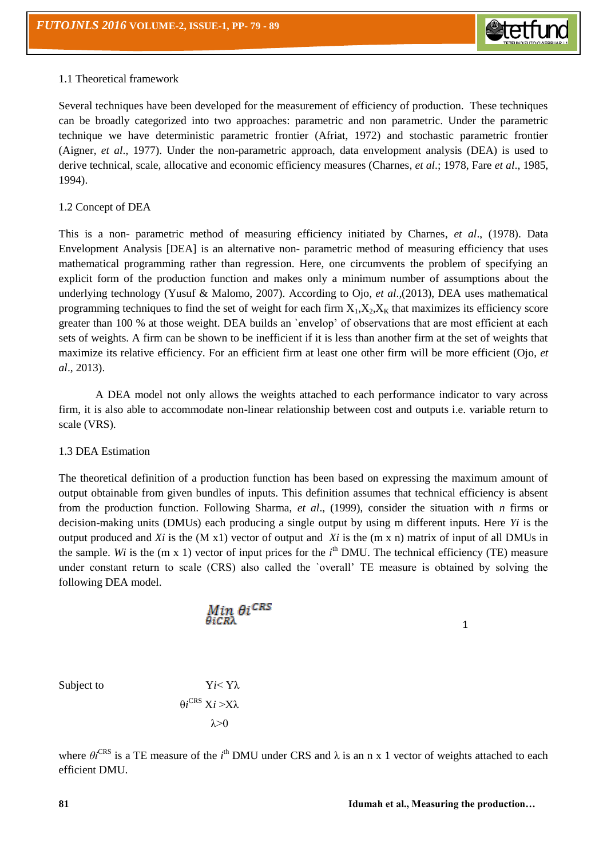

## 1.1 Theoretical framework

Several techniques have been developed for the measurement of efficiency of production. These techniques can be broadly categorized into two approaches: parametric and non parametric. Under the parametric technique we have deterministic parametric frontier (Afriat, 1972) and stochastic parametric frontier (Aigner, *et al*., 1977). Under the non-parametric approach, data envelopment analysis (DEA) is used to derive technical, scale, allocative and economic efficiency measures (Charnes, *et al*.; 1978, Fare *et al*., 1985, 1994).

### 1.2 Concept of DEA

This is a non- parametric method of measuring efficiency initiated by Charnes, *et al*., (1978). Data Envelopment Analysis [DEA] is an alternative non- parametric method of measuring efficiency that uses mathematical programming rather than regression. Here, one circumvents the problem of specifying an explicit form of the production function and makes only a minimum number of assumptions about the underlying technology (Yusuf & Malomo, 2007). According to Ojo, *et al*.*,*(2013), DEA uses mathematical programming techniques to find the set of weight for each firm  $X_1, X_2, X_K$  that maximizes its efficiency score greater than 100 % at those weight. DEA builds an `envelop" of observations that are most efficient at each sets of weights. A firm can be shown to be inefficient if it is less than another firm at the set of weights that maximize its relative efficiency. For an efficient firm at least one other firm will be more efficient (Ojo, *et al*., 2013).

A DEA model not only allows the weights attached to each performance indicator to vary across firm, it is also able to accommodate non-linear relationship between cost and outputs i.e. variable return to scale (VRS).

#### 1.3 DEA Estimation

The theoretical definition of a production function has been based on expressing the maximum amount of output obtainable from given bundles of inputs. This definition assumes that technical efficiency is absent from the production function. Following Sharma, *et al*., (1999), consider the situation with *n* firms or decision-making units (DMUs) each producing a single output by using m different inputs. Here *Yi* is the output produced and  $Xi$  is the  $(M x1)$  vector of output and  $Xi$  is the  $(m x n)$  matrix of input of all DMUs in the sample. Wi is the  $(m \times 1)$  vector of input prices for the  $i<sup>th</sup>$  DMU. The technical efficiency (TE) measure under constant return to scale (CRS) also called the `overall" TE measure is obtained by solving the following DEA model.

$$
\mathop{\rm Min}_{\theta iCR\lambda}\theta i^{CRS}
$$

1

Subject to *Yi* < *Y*λ

 $θi^\text{CRS}$   $Xi > Xλ$  $λ>0$ 

where  $\theta i^{\text{CRS}}$  is a TE measure of the  $i^{\text{th}}$  DMU under CRS and  $\lambda$  is an n x 1 vector of weights attached to each efficient DMU.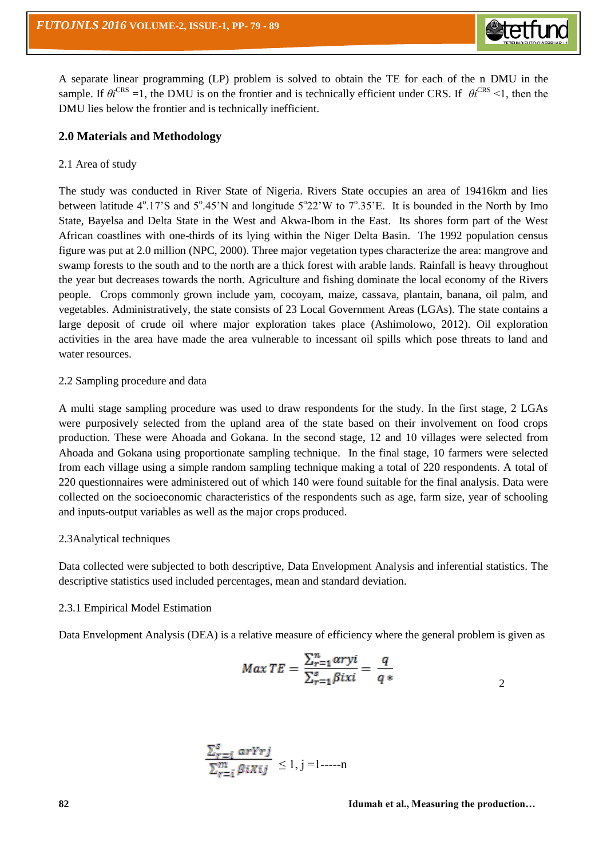A separate linear programming (LP) problem is solved to obtain the TE for each of the n DMU in the sample. If  $\theta i^{CRS} = 1$ , the DMU is on the frontier and is technically efficient under CRS. If  $\theta i^{CRS} < 1$ , then the DMU lies below the frontier and is technically inefficient.

## **2.0 Materials and Methodology**

## 2.1 Area of study

The study was conducted in River State of Nigeria. Rivers State occupies an area of 19416km and lies between latitude  $4^{\circ}.17$ 'S and  $5^{\circ}.45$ 'N and longitude  $5^{\circ}22$ 'W to  $7^{\circ}.35$ 'E. It is bounded in the North by Imo State, Bayelsa and Delta State in the West and Akwa-Ibom in the East. Its shores form part of the West African coastlines with one-thirds of its lying within the Niger Delta Basin. The 1992 population census figure was put at 2.0 million (NPC, 2000). Three major vegetation types characterize the area: mangrove and swamp forests to the south and to the north are a thick forest with arable lands. Rainfall is heavy throughout the year but decreases towards the north. Agriculture and fishing dominate the local economy of the Rivers people. Crops commonly grown include yam, cocoyam, maize, cassava, plantain, banana, oil palm, and vegetables. Administratively, the state consists of 23 Local Government Areas (LGAs). The state contains a large deposit of crude oil where major exploration takes place (Ashimolowo, 2012). Oil exploration activities in the area have made the area vulnerable to incessant oil spills which pose threats to land and water resources.

## 2.2 Sampling procedure and data

A multi stage sampling procedure was used to draw respondents for the study. In the first stage, 2 LGAs were purposively selected from the upland area of the state based on their involvement on food crops production. These were Ahoada and Gokana. In the second stage, 12 and 10 villages were selected from Ahoada and Gokana using proportionate sampling technique. In the final stage, 10 farmers were selected from each village using a simple random sampling technique making a total of 220 respondents. A total of 220 questionnaires were administered out of which 140 were found suitable for the final analysis. Data were collected on the socioeconomic characteristics of the respondents such as age, farm size, year of schooling and inputs-output variables as well as the major crops produced.

#### 2.3Analytical techniques

Data collected were subjected to both descriptive, Data Envelopment Analysis and inferential statistics. The descriptive statistics used included percentages, mean and standard deviation.

#### 2.3.1 Empirical Model Estimation

Data Envelopment Analysis (DEA) is a relative measure of efficiency where the general problem is given as

$$
Max TE = \frac{\sum_{r=1}^{n} \alpha r y i}{\sum_{r=1}^{s} \beta i x i} = \frac{q}{q*}
$$

$$
\frac{\sum_{r=i}^{s} arYrj}{\sum_{r=i}^{m} \beta iXij} \le 1, j = 1 - \dots - n
$$

2

 $\triangle$ tetfu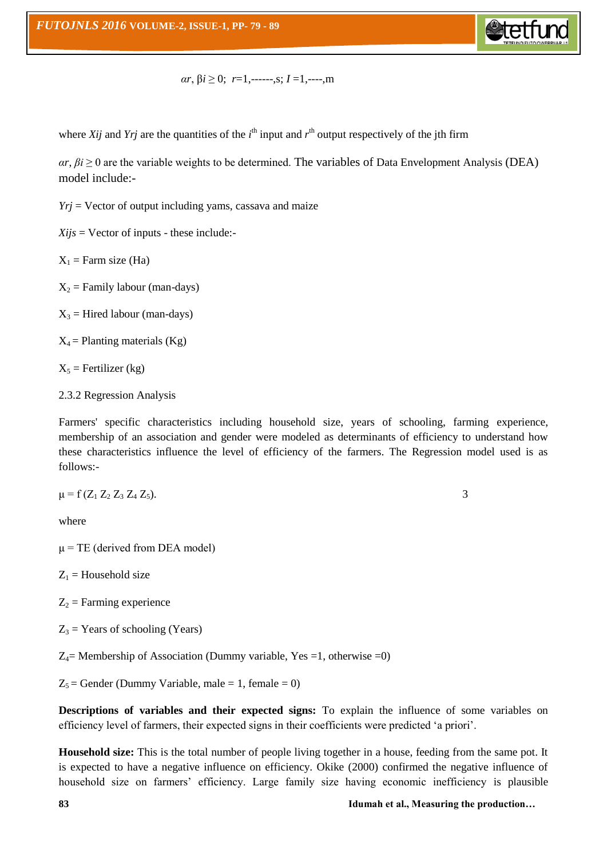

$$
\alpha r, \beta i \geq 0; r=1, \dots, s; I=1, \dots, m
$$

where *Xij* and *Yrj* are the quantities of the  $i<sup>th</sup>$  input and  $r<sup>th</sup>$  output respectively of the jth firm

 $\alpha r$ ,  $\beta i \geq 0$  are the variable weights to be determined. The variables of Data Envelopment Analysis (DEA) model include:-

 $Yri =$  Vector of output including yams, cassava and maize

 $Xijs =$  Vector of inputs - these include:-

 $X_1$  = Farm size (Ha)

 $X_2$  = Family labour (man-days)

 $X_3$  = Hired labour (man-days)

 $X_4$  = Planting materials (Kg)

 $X_5$  = Fertilizer (kg)

2.3.2 Regression Analysis

Farmers' specific characteristics including household size, years of schooling, farming experience, membership of an association and gender were modeled as determinants of efficiency to understand how these characteristics influence the level of efficiency of the farmers. The Regression model used is as follows:-

$$
\mu = f(Z_1 \, Z_2 \, Z_3 \, Z_4 \, Z_5). \tag{3}
$$

where

 $\mu$  = TE (derived from DEA model)

 $Z_1$  = Household size

 $Z_2$  = Farming experience

 $Z_3$  = Years of schooling (Years)

 $Z_4$ = Membership of Association (Dummy variable, Yes =1, otherwise =0)

 $Z_5$  = Gender (Dummy Variable, male = 1, female = 0)

**Descriptions of variables and their expected signs:** To explain the influence of some variables on efficiency level of farmers, their expected signs in their coefficients were predicted "a priori".

**Household size:** This is the total number of people living together in a house, feeding from the same pot. It is expected to have a negative influence on efficiency. Okike (2000) confirmed the negative influence of household size on farmers' efficiency. Large family size having economic inefficiency is plausible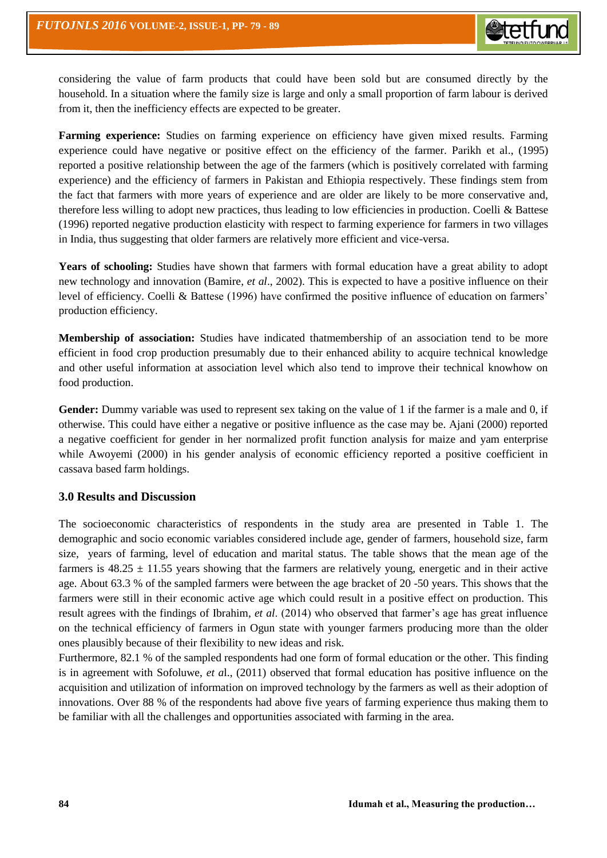considering the value of farm products that could have been sold but are consumed directly by the household. In a situation where the family size is large and only a small proportion of farm labour is derived from it, then the inefficiency effects are expected to be greater.

**Farming experience:** Studies on farming experience on efficiency have given mixed results. Farming experience could have negative or positive effect on the efficiency of the farmer. Parikh et al., (1995) reported a positive relationship between the age of the farmers (which is positively correlated with farming experience) and the efficiency of farmers in Pakistan and Ethiopia respectively. These findings stem from the fact that farmers with more years of experience and are older are likely to be more conservative and, therefore less willing to adopt new practices, thus leading to low efficiencies in production. Coelli & Battese (1996) reported negative production elasticity with respect to farming experience for farmers in two villages in India, thus suggesting that older farmers are relatively more efficient and vice-versa.

**Years of schooling:** Studies have shown that farmers with formal education have a great ability to adopt new technology and innovation (Bamire, *et al*., 2002). This is expected to have a positive influence on their level of efficiency. Coelli & Battese (1996) have confirmed the positive influence of education on farmers" production efficiency.

**Membership of association:** Studies have indicated thatmembership of an association tend to be more efficient in food crop production presumably due to their enhanced ability to acquire technical knowledge and other useful information at association level which also tend to improve their technical knowhow on food production.

**Gender:** Dummy variable was used to represent sex taking on the value of 1 if the farmer is a male and 0, if otherwise. This could have either a negative or positive influence as the case may be. Ajani (2000) reported a negative coefficient for gender in her normalized profit function analysis for maize and yam enterprise while Awoyemi (2000) in his gender analysis of economic efficiency reported a positive coefficient in cassava based farm holdings.

# **3.0 Results and Discussion**

The socioeconomic characteristics of respondents in the study area are presented in Table 1. The demographic and socio economic variables considered include age, gender of farmers, household size, farm size, years of farming, level of education and marital status. The table shows that the mean age of the farmers is  $48.25 \pm 11.55$  years showing that the farmers are relatively young, energetic and in their active age. About 63.3 % of the sampled farmers were between the age bracket of 20 -50 years. This shows that the farmers were still in their economic active age which could result in a positive effect on production. This result agrees with the findings of Ibrahim, *et al*. (2014) who observed that farmer"s age has great influence on the technical efficiency of farmers in Ogun state with younger farmers producing more than the older ones plausibly because of their flexibility to new ideas and risk.

Furthermore, 82.1 % of the sampled respondents had one form of formal education or the other. This finding is in agreement with Sofoluwe, *et a*l., (2011) observed that formal education has positive influence on the acquisition and utilization of information on improved technology by the farmers as well as their adoption of innovations. Over 88 % of the respondents had above five years of farming experience thus making them to be familiar with all the challenges and opportunities associated with farming in the area.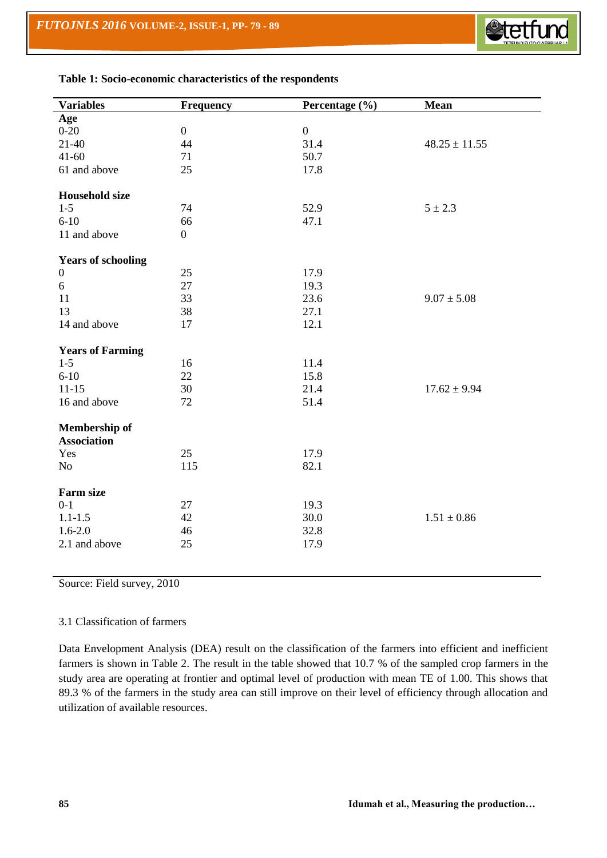$\overline{a}$ 



| <b>Variables</b>          | <b>Frequency</b> | Percentage (%)   | <b>Mean</b>       |
|---------------------------|------------------|------------------|-------------------|
| Age                       |                  |                  |                   |
| $0 - 20$                  | $\boldsymbol{0}$ | $\boldsymbol{0}$ |                   |
| $21 - 40$                 | 44               | 31.4             | $48.25 \pm 11.55$ |
| $41 - 60$                 | 71               | 50.7             |                   |
| 61 and above              | 25               | 17.8             |                   |
| <b>Household size</b>     |                  |                  |                   |
| $1-5$                     | 74               | 52.9             | $5 \pm 2.3$       |
| $6 - 10$                  | 66               | 47.1             |                   |
| 11 and above              | $\boldsymbol{0}$ |                  |                   |
| <b>Years of schooling</b> |                  |                  |                   |
| $\boldsymbol{0}$          | 25               | 17.9             |                   |
| 6                         | 27               | 19.3             |                   |
| 11                        | 33               | 23.6             | $9.07 \pm 5.08$   |
| 13                        | 38               | 27.1             |                   |
| 14 and above              | 17               | 12.1             |                   |
| <b>Years of Farming</b>   |                  |                  |                   |
| $1-5$                     | 16               | 11.4             |                   |
| $6 - 10$                  | 22               | 15.8             |                   |
| $11 - 15$                 | 30               | 21.4             | $17.62 \pm 9.94$  |
| 16 and above              | 72               | 51.4             |                   |
| <b>Membership of</b>      |                  |                  |                   |
| <b>Association</b>        |                  |                  |                   |
| Yes                       | 25               | 17.9             |                   |
| No                        | 115              | 82.1             |                   |
| <b>Farm size</b>          |                  |                  |                   |
| $0 - 1$                   | 27               | 19.3             |                   |
| $1.1 - 1.5$               | 42               | 30.0             | $1.51 \pm 0.86$   |
| $1.6 - 2.0$               | 46               | 32.8             |                   |
| 2.1 and above             | 25               | 17.9             |                   |
|                           |                  |                  |                   |

**Table 1: Socio-economic characteristics of the respondents**

Source: Field survey, 2010

#### 3.1 Classification of farmers

Data Envelopment Analysis (DEA) result on the classification of the farmers into efficient and inefficient farmers is shown in Table 2. The result in the table showed that 10.7 % of the sampled crop farmers in the study area are operating at frontier and optimal level of production with mean TE of 1.00. This shows that 89.3 % of the farmers in the study area can still improve on their level of efficiency through allocation and utilization of available resources.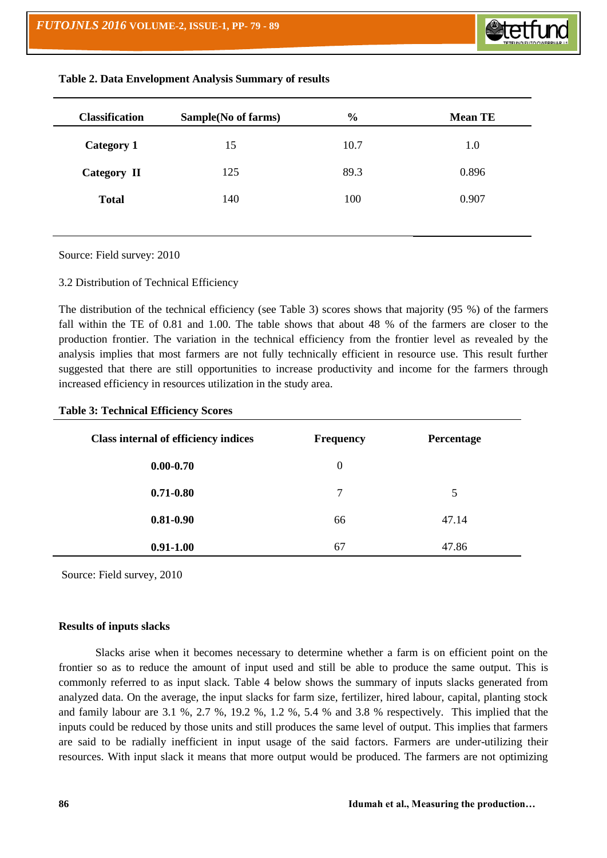| <b>Classification</b> | Sample(No of farms) | $\frac{6}{6}$ | <b>Mean TE</b> |
|-----------------------|---------------------|---------------|----------------|
| <b>Category 1</b>     | 15                  | 10.7          | 1.0            |
| Category II           | 125                 | 89.3          | 0.896          |
| <b>Total</b>          | 140                 | 100           | 0.907          |

## **Table 2. Data Envelopment Analysis Summary of results**

Source: Field survey: 2010

3.2 Distribution of Technical Efficiency

The distribution of the technical efficiency (see Table 3) scores shows that majority (95 %) of the farmers fall within the TE of 0.81 and 1.00. The table shows that about 48 % of the farmers are closer to the production frontier. The variation in the technical efficiency from the frontier level as revealed by the analysis implies that most farmers are not fully technically efficient in resource use. This result further suggested that there are still opportunities to increase productivity and income for the farmers through increased efficiency in resources utilization in the study area.

**Table 3: Technical Efficiency Scores**

| <b>Class internal of efficiency indices</b> | <b>Frequency</b> | Percentage |
|---------------------------------------------|------------------|------------|
| $0.00 - 0.70$                               | $\theta$         |            |
| $0.71 - 0.80$                               | 7                | 5          |
| $0.81 - 0.90$                               | 66               | 47.14      |
| $0.91 - 1.00$                               | 67               | 47.86      |

Source: Field survey, 2010

## **Results of inputs slacks**

Slacks arise when it becomes necessary to determine whether a farm is on efficient point on the frontier so as to reduce the amount of input used and still be able to produce the same output. This is commonly referred to as input slack. Table 4 below shows the summary of inputs slacks generated from analyzed data. On the average, the input slacks for farm size, fertilizer, hired labour, capital, planting stock and family labour are 3.1 %, 2.7 %, 19.2 %, 1.2 %, 5.4 % and 3.8 % respectively. This implied that the inputs could be reduced by those units and still produces the same level of output. This implies that farmers are said to be radially inefficient in input usage of the said factors. Farmers are under-utilizing their resources. With input slack it means that more output would be produced. The farmers are not optimizing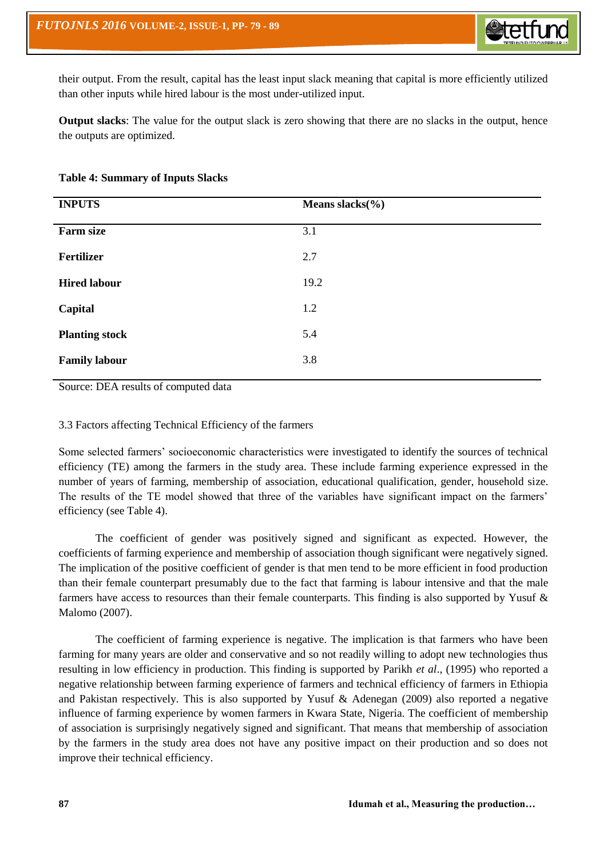their output. From the result, capital has the least input slack meaning that capital is more efficiently utilized than other inputs while hired labour is the most under-utilized input.

**Output slacks**: The value for the output slack is zero showing that there are no slacks in the output, hence the outputs are optimized.

| <b>Table 4: Summary of Inputs Slacks</b> |  |
|------------------------------------------|--|
|                                          |  |

| <b>INPUTS</b>         | Means slacks $(\%)$ |
|-----------------------|---------------------|
| <b>Farm size</b>      | 3.1                 |
| Fertilizer            | 2.7                 |
| <b>Hired labour</b>   | 19.2                |
| Capital               | 1.2                 |
| <b>Planting stock</b> | 5.4                 |
| <b>Family labour</b>  | 3.8                 |

Source: DEA results of computed data

## 3.3 Factors affecting Technical Efficiency of the farmers

Some selected farmers' socioeconomic characteristics were investigated to identify the sources of technical efficiency (TE) among the farmers in the study area. These include farming experience expressed in the number of years of farming, membership of association, educational qualification, gender, household size. The results of the TE model showed that three of the variables have significant impact on the farmers' efficiency (see Table 4).

The coefficient of gender was positively signed and significant as expected. However, the coefficients of farming experience and membership of association though significant were negatively signed. The implication of the positive coefficient of gender is that men tend to be more efficient in food production than their female counterpart presumably due to the fact that farming is labour intensive and that the male farmers have access to resources than their female counterparts. This finding is also supported by Yusuf  $\&$ Malomo (2007).

The coefficient of farming experience is negative. The implication is that farmers who have been farming for many years are older and conservative and so not readily willing to adopt new technologies thus resulting in low efficiency in production. This finding is supported by Parikh *et al*., (1995) who reported a negative relationship between farming experience of farmers and technical efficiency of farmers in Ethiopia and Pakistan respectively. This is also supported by Yusuf & Adenegan (2009) also reported a negative influence of farming experience by women farmers in Kwara State, Nigeria. The coefficient of membership of association is surprisingly negatively signed and significant. That means that membership of association by the farmers in the study area does not have any positive impact on their production and so does not improve their technical efficiency.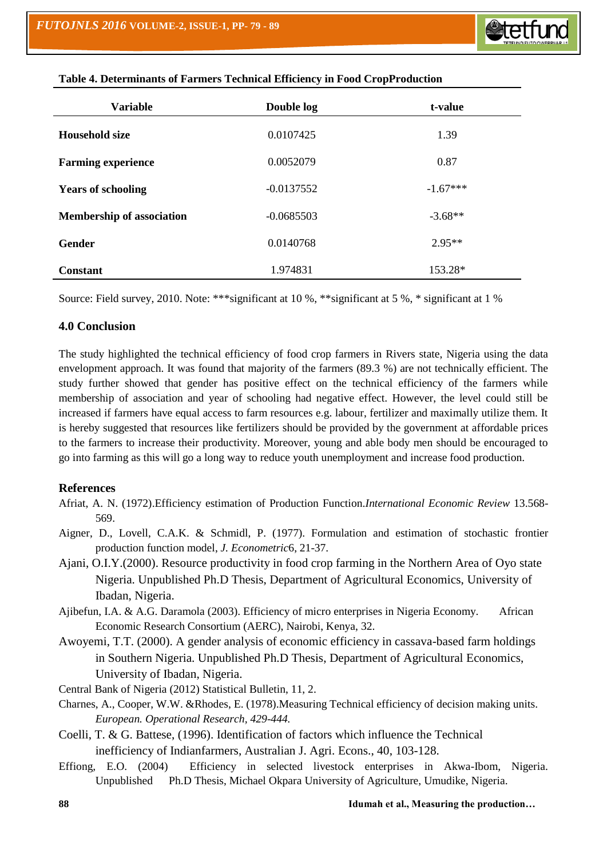| <b>Variable</b>                  | Double log   | t-value    |
|----------------------------------|--------------|------------|
| <b>Household size</b>            | 0.0107425    | 1.39       |
| <b>Farming experience</b>        | 0.0052079    | 0.87       |
| <b>Years of schooling</b>        | $-0.0137552$ | $-1.67***$ |
| <b>Membership of association</b> | $-0.0685503$ | $-3.68**$  |
| <b>Gender</b>                    | 0.0140768    | $2.95**$   |
| <b>Constant</b>                  | 1.974831     | 153.28*    |

| Table 4. Determinants of Farmers Technical Efficiency in Food CropProduction |  |  |  |
|------------------------------------------------------------------------------|--|--|--|
|                                                                              |  |  |  |

Source: Field survey, 2010. Note: \*\*\*significant at 10 %, \*\*significant at 5 %, \* significant at 1 %

## **4.0 Conclusion**

The study highlighted the technical efficiency of food crop farmers in Rivers state, Nigeria using the data envelopment approach. It was found that majority of the farmers (89.3 %) are not technically efficient. The study further showed that gender has positive effect on the technical efficiency of the farmers while membership of association and year of schooling had negative effect. However, the level could still be increased if farmers have equal access to farm resources e.g. labour, fertilizer and maximally utilize them. It is hereby suggested that resources like fertilizers should be provided by the government at affordable prices to the farmers to increase their productivity. Moreover, young and able body men should be encouraged to go into farming as this will go a long way to reduce youth unemployment and increase food production.

# **References**

- Afriat, A. N. (1972).Efficiency estimation of Production Function.*International Economic Review* 13.568- 569.
- Aigner, D., Lovell, C.A.K. & Schmidl, P. (1977). Formulation and estimation of stochastic frontier production function model, *J. Econometric*6, 21-37.
- Ajani, O.I.Y.(2000). Resource productivity in food crop farming in the Northern Area of Oyo state Nigeria. Unpublished Ph.D Thesis, Department of Agricultural Economics, University of Ibadan, Nigeria.
- Ajibefun, I.A. & A.G. Daramola (2003). Efficiency of micro enterprises in Nigeria Economy. African Economic Research Consortium (AERC), Nairobi, Kenya, 32.
- Awoyemi, T.T. (2000). A gender analysis of economic efficiency in cassava-based farm holdings in Southern Nigeria. Unpublished Ph.D Thesis, Department of Agricultural Economics, University of Ibadan, Nigeria.
- Central Bank of Nigeria (2012) Statistical Bulletin, 11, 2.
- Charnes, A., Cooper, W.W. &Rhodes, E. (1978).Measuring Technical efficiency of decision making units. *European. Operational Research, 429-444.*
- Coelli, T. & G. Battese, (1996). Identification of factors which influence the Technical inefficiency of Indianfarmers, Australian J. Agri. Econs., 40, 103-128.
- Effiong, E.O. (2004) Efficiency in selected livestock enterprises in Akwa-Ibom, Nigeria. Unpublished Ph.D Thesis, Michael Okpara University of Agriculture, Umudike, Nigeria.